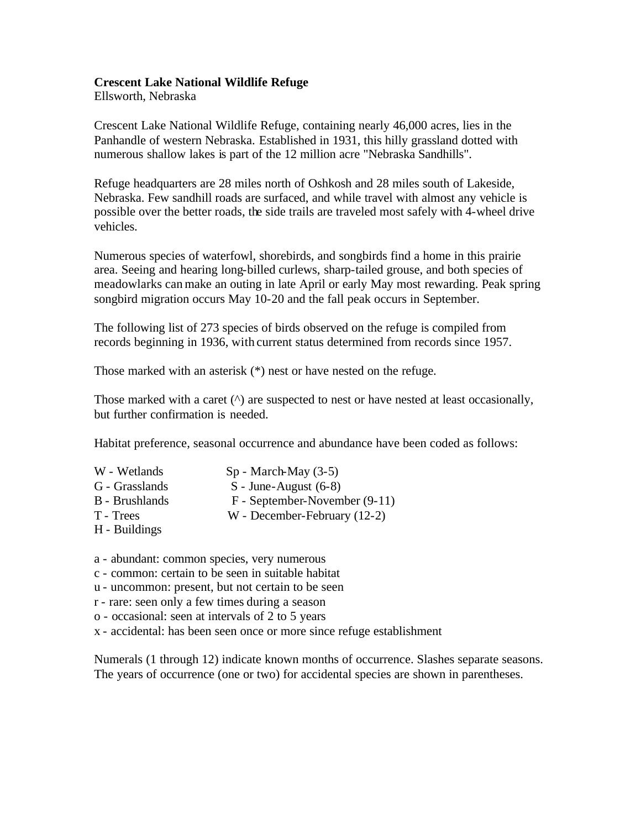## **Crescent Lake National Wildlife Refuge**

Ellsworth, Nebraska

Crescent Lake National Wildlife Refuge, containing nearly 46,000 acres, lies in the Panhandle of western Nebraska. Established in 1931, this hilly grassland dotted with numerous shallow lakes is part of the 12 million acre "Nebraska Sandhills".

Refuge headquarters are 28 miles north of Oshkosh and 28 miles south of Lakeside, Nebraska. Few sandhill roads are surfaced, and while travel with almost any vehicle is possible over the better roads, the side trails are traveled most safely with 4-wheel drive vehicles.

Numerous species of waterfowl, shorebirds, and songbirds find a home in this prairie area. Seeing and hearing long-billed curlews, sharp-tailed grouse, and both species of meadowlarks can make an outing in late April or early May most rewarding. Peak spring songbird migration occurs May 10-20 and the fall peak occurs in September.

The following list of 273 species of birds observed on the refuge is compiled from records beginning in 1936, with current status determined from records since 1957.

Those marked with an asterisk (\*) nest or have nested on the refuge.

Those marked with a caret ( $\land$ ) are suspected to nest or have nested at least occasionally, but further confirmation is needed.

Habitat preference, seasonal occurrence and abundance have been coded as follows:

- W Wetlands Sp March-May (3-5) G - Grasslands S - June-August (6-8) B - Brushlands F - September-November (9-11) T - Trees W - December-February (12-2)
- H Buildings
- a abundant: common species, very numerous
- c common: certain to be seen in suitable habitat
- u uncommon: present, but not certain to be seen
- r rare: seen only a few times during a season
- o occasional: seen at intervals of 2 to 5 years
- x accidental: has been seen once or more since refuge establishment

Numerals (1 through 12) indicate known months of occurrence. Slashes separate seasons. The years of occurrence (one or two) for accidental species are shown in parentheses.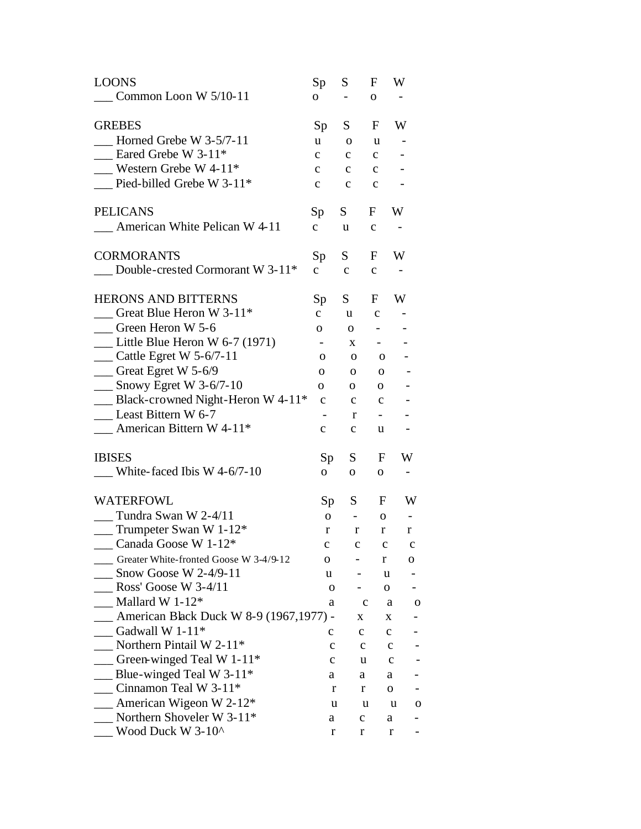| <b>LOONS</b>                                 | Sp             | S            | F                        | W                            |
|----------------------------------------------|----------------|--------------|--------------------------|------------------------------|
| $\sim$ Common Loon W 5/10-11                 | 0              |              | $\mathbf{O}$             |                              |
| <b>GREBES</b>                                | Sp             | S.           | F                        | W                            |
| Horned Grebe W $3-5/7-11$                    | u              | $\mathbf{o}$ | u                        |                              |
| $\frac{1}{2}$ Eared Grebe W 3-11*            | $\mathbf{C}$   | $\mathbf{C}$ | $\mathbf{C}$             |                              |
| Western Grebe W $4-11*$                      | $\mathbf{c}$   | $\mathbf{c}$ | $\mathbf{C}$             |                              |
| $\_\_$ Pied-billed Grebe W 3-11*             | $\mathbf{C}$   | $\mathbf{C}$ | $\mathbf{C}$             |                              |
| <b>PELICANS</b>                              | Sp             | S            | F                        | W                            |
| $\blacksquare$ American White Pelican W 4-11 | $\mathbf{C}$   | u            | $\mathbf c$              |                              |
| <b>CORMORANTS</b>                            | Sp             | S —          | F                        | W                            |
| $\Box$ Double-crested Cormorant W 3-11*      | $\mathbf{C}$   | $\mathbf{C}$ | $\mathbf c$              |                              |
| <b>HERONS AND BITTERNS</b>                   | Sp             | S.           | F                        | W                            |
| Great Blue Heron W 3-11 <sup>*</sup>         | $\mathbf{C}$   | u            | $\mathbf c$              |                              |
| $\qquad$ Green Heron W 5-6                   | $\mathbf{O}$   | $\mathbf{O}$ | $\sim$                   |                              |
| $\frac{1}{2}$ Little Blue Heron W 6-7 (1971) |                | X            | $\sim 100$               |                              |
| $\frac{1}{2}$ Cattle Egret W 5-6/7-11        | 0              | 0            | $\overline{\mathbf{O}}$  |                              |
| $\frac{1}{2}$ Great Egret W 5-6/9            | 0              | $\mathbf{O}$ | $\mathbf{O}$             |                              |
| $\frac{1}{2}$ Snowy Egret W 3-6/7-10         | 0              | $\mathbf{O}$ | $\mathbf{o}$             |                              |
| -Black-crowned Night-Heron W 4-11*           | $\mathbf c$    | $\mathbf{c}$ | $\mathbf{C}$             |                              |
| Least Bittern W 6-7                          |                | r            | $\overline{\phantom{a}}$ |                              |
| $\frac{1}{2}$ American Bittern W 4-11*       | $\mathbf{c}$   | $\mathbf c$  | u                        | $\qquad \qquad \blacksquare$ |
| <b>IBISES</b>                                | Sp             | S            | F                        | W                            |
| White-faced Ibis W $4-6/7-10$                | $\overline{O}$ | $\mathbf{O}$ | $\mathbf{O}$             | $\overline{\phantom{a}}$     |
| <b>WATERFOWL</b>                             | Sp             | S —          | F                        | W                            |
| $\frac{1}{2}$ Tundra Swan W 2-4/11           | $\overline{O}$ | $\sim$ $-$   | $\mathbf 0$              | $\overline{\phantom{a}}$     |
| $\frac{1}{2}$ Trumpeter Swan W 1-12*         | r              | r            | $\bf r$                  | r                            |
| Canada Goose W 1-12*                         | c              | c            | c                        | c                            |
| Greater White-fronted Goose W 3-4/9-12       | О              |              | r                        | 0                            |
| $\_$ Snow Goose W 2-4/9-11                   | u              |              | u                        |                              |
| Ross' Goose W $3-4/11$                       | O              |              | 0                        |                              |
| Mallard W 1-12 $*$                           | a              |              | с                        | a<br>O                       |
| _ American Black Duck W 8-9 (1967,1977) -    |                | X.           |                          | X                            |
| Gadwall W $1-11*$                            | c              | $\mathbf{C}$ |                          | $\mathbf{C}$                 |
| Northern Pintail W 2-11*                     | c              | с            |                          | с                            |
| $\sim$ Green-winged Teal W 1-11*             | c              | u            |                          | c                            |
| Blue-winged Teal W 3-11 $*$                  | a              | a            |                          | a                            |
| Cinnamon Teal W 3-11*                        | r              | r            |                          | 0                            |
| $\Delta$ American Wigeon W 2-12*             | u              |              | u                        | u<br>O                       |
| Northern Shoveler W 3-11*                    | a              | $\mathbf C$  |                          | a                            |
| Wood Duck W 3-10^                            | r              | r            |                          | r                            |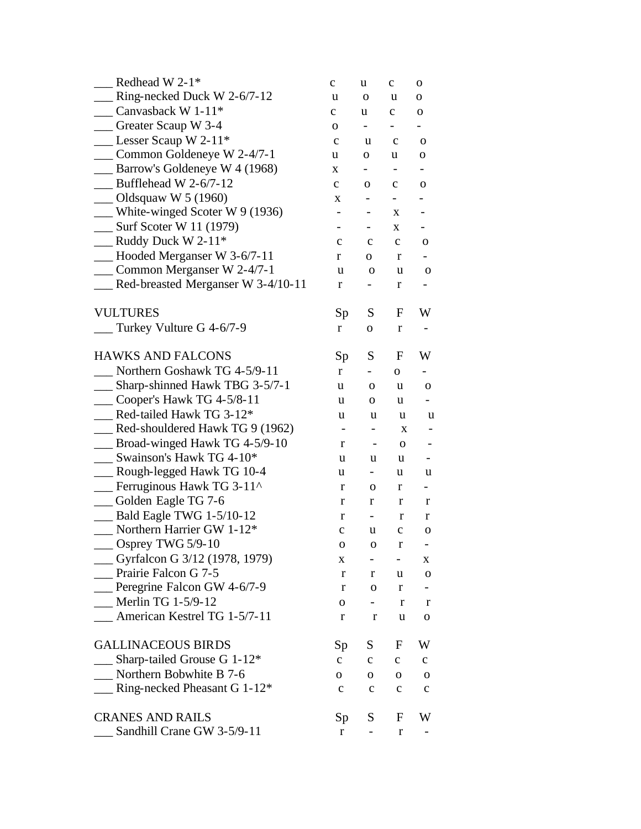| Redhead W 2-1*                              | $\mathbf c$              | u                        | $\mathbf c$              | 0                        |
|---------------------------------------------|--------------------------|--------------------------|--------------------------|--------------------------|
| <b>EXECUTE:</b> Ring-necked Duck W 2-6/7-12 | u                        | $\mathbf 0$              | u                        | 0                        |
| Canvasback W 1-11 <sup>*</sup>              | $\mathbf c$              | u                        | $\mathbf c$              | 0                        |
| __ Greater Scaup W 3-4                      | 0                        | $\overline{\phantom{0}}$ | -                        | $\overline{\phantom{0}}$ |
| $\_\_\_\$ Lesser Scaup W 2-11*              | $\mathbf c$              | u                        | $\mathbf c$              | $\mathbf 0$              |
| _ Common Goldeneye W 2-4/7-1                | u                        | 0                        | u                        | 0                        |
| Barrow's Goldeneye W 4 (1968)               | X                        | Ξ.                       |                          | -                        |
| $\_\_\$ Bufflehead W 2-6/7-12               | $\mathbf{C}$             | $\mathbf 0$              | $\mathbf c$              | $\mathbf 0$              |
| $\sim$ Oldsquaw W 5 (1960)                  | X                        | $\qquad \qquad -$        | $\overline{\phantom{0}}$ |                          |
| $\mu$ White-winged Scoter W 9 (1936)        | $\overline{\phantom{0}}$ |                          | X                        |                          |
| $\frac{1}{2}$ Surf Scoter W 11 (1979)       | $\overline{\phantom{0}}$ |                          | X                        |                          |
| $\_\_\_\$ Ruddy Duck W 2-11*                | $\mathbf c$              | c                        | c                        | $\mathbf 0$              |
| Hooded Merganser W 3-6/7-11                 | r                        | 0                        | r                        |                          |
| __ Common Merganser W 2-4/7-1               | u                        | 0                        | u                        | $\mathbf 0$              |
| Red-breasted Merganser W 3-4/10-11          | r                        | -                        | r                        | $\blacksquare$           |
| <b>VULTURES</b>                             | Sp                       | S                        | F                        | W                        |
| Turkey Vulture G 4-6/7-9                    | r                        | O                        | r                        |                          |
| <b>HAWKS AND FALCONS</b>                    | Sp                       | S                        | F                        | W                        |
| Northern Goshawk TG 4-5/9-11                | r                        |                          | 0                        |                          |
| __ Sharp-shinned Hawk TBG 3-5/7-1           | u                        | 0                        | u                        | 0                        |
| $\_\_$ Cooper's Hawk TG 4-5/8-11            | u                        | 0                        | u                        |                          |
| $\phantom{1}$ Red-tailed Hawk TG 3-12*      | u                        | u                        | u                        | u                        |
| Red-shouldered Hawk TG 9 (1962)             | -                        | -                        | X                        | -                        |
| Broad-winged Hawk TG 4-5/9-10               | r                        | $\overline{\phantom{a}}$ | $\mathbf 0$              |                          |
| Swainson's Hawk TG 4-10*                    | u                        | u                        | u                        |                          |
| __ Rough-legged Hawk TG 10-4                | u                        | Ξ.                       | u                        | u                        |
| Ferruginous Hawk TG 3-11^                   | r                        | 0                        | r                        | $\blacksquare$           |
| Golden Eagle TG 7-6                         | r                        | r                        | r                        | r                        |
| Bald Eagle TWG 1-5/10-12                    | r                        | Ξ.                       | r                        | r                        |
| $\frac{1}{2}$ Northern Harrier GW 1-12*     | $\mathbf C$              | u                        | $\mathbf C$              | 0                        |
| $\sim$ Osprey TWG 5/9-10                    | о                        | ${\bf O}$                | $\bf r$                  |                          |
| __ Gyrfalcon G 3/12 (1978, 1979)            | X                        | н.                       | $-$                      | X                        |
| Prairie Falcon G 7-5                        | r                        | r                        | u                        | $\mathbf O$              |
| __ Peregrine Falcon GW 4-6/7-9              | r                        | 0                        | r                        |                          |
| Merlin TG $1-5/9-12$                        | 0                        | $\blacksquare$           | r                        | r                        |
| American Kestrel TG 1-5/7-11                | r                        | r                        | u                        | 0                        |
| <b>GALLINACEOUS BIRDS</b>                   | Sp                       | S                        | F                        | W                        |
| Sharp-tailed Grouse G 1-12*                 | $\mathbf{C}$             | $\mathbf{C}$             | $\mathbf{C}$             | $\mathbf c$              |
| Northern Bobwhite B 7-6                     | 0                        | 0                        | 0                        | 0                        |
| $\frac{1}{2}$ Ring-necked Pheasant G 1-12*  | $\mathbf c$              | $\mathbf c$              | $\mathbf c$              | $\mathbf c$              |
| <b>CRANES AND RAILS</b>                     | Sp                       | S                        | F                        | W                        |
| Sandhill Crane GW 3-5/9-11                  | r                        |                          | r                        |                          |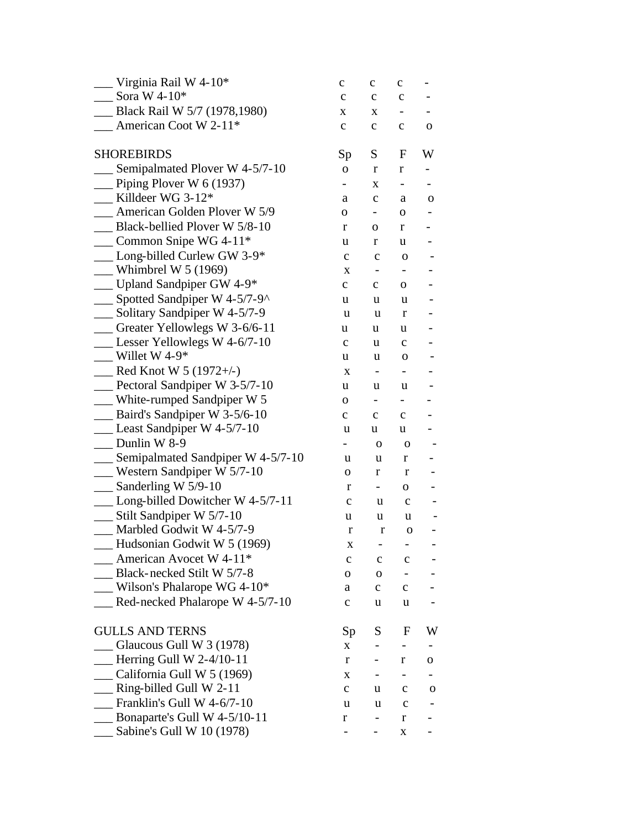| Virginia Rail W 4-10*                                 | с            | с                        | c                            |   |
|-------------------------------------------------------|--------------|--------------------------|------------------------------|---|
| $\frac{\text{Sora W } 4-10^*}{\text{Sora W } 4-10^*}$ | $\mathbf c$  | $\mathbf c$              | $\mathbf C$                  |   |
| __ Black Rail W 5/7 (1978,1980)                       | X            | X                        |                              |   |
| American Coot W 2-11*                                 | $\mathbf c$  | $\mathbf{C}$             | $\mathbf{C}$                 | O |
| <b>SHOREBIRDS</b>                                     | Sp           | S.                       | F                            | W |
| Semipalmated Plover W 4-5/7-10                        | 0            | r                        | r                            |   |
| $\Box$ Piping Plover W 6 (1937)                       |              | X                        | -                            |   |
| $\hspace{0.1cm}$ Killdeer WG 3-12*                    | a            | $\mathbf C$              | a                            | 0 |
| <b>Example 25 American Golden Ployer W 5/9</b>        | 0            |                          | 0                            |   |
| Black-bellied Plover W 5/8-10                         | r            | $\mathbf O$              | r                            | - |
| $\_\_\_\$ Common Snipe WG 4-11*                       | u            | r                        | u                            |   |
| $\_\_$ Long-billed Curlew GW 3-9*                     | $\mathbf C$  | $\mathbf C$              | 0                            |   |
| $\mu$ Whimbrel W 5 (1969)                             | X            | $\qquad \qquad -$        | -                            |   |
| - Upland Sandpiper GW 4-9*                            | $\mathbf{C}$ | $\mathbf{C}$             | $\mathbf{O}$                 |   |
| $\_\_\_\$ Spotted Sandpiper W 4-5/7-9^                | u            | u                        | u                            |   |
| Solitary Sandpiper W 4-5/7-9                          | u            | u                        | r                            |   |
| Greater Yellowlegs W 3-6/6-11                         | u            | u                        | u                            |   |
| $\_\_\_\$ Lesser Yellowlegs W 4-6/7-10                | $\mathbf c$  | u                        | $\mathbf{C}$                 |   |
| $W$ illet W 4-9*                                      | u            | u                        | $\mathbf 0$                  |   |
| $\frac{1}{2}$ Red Knot W 5 (1972+/-)                  | X            | $\overline{\phantom{a}}$ | $\qquad \qquad \blacksquare$ |   |
| $\frac{1}{2}$ Pectoral Sandpiper W 3-5/7-10           | u            | u                        | u                            |   |
| $\frac{1}{2}$ White-rumped Sandpiper W 5              | 0            | $\overline{\phantom{a}}$ | $\blacksquare$               |   |
| $\mu$ Baird's Sandpiper W 3-5/6-10                    | с            | $\mathbf C$              | $\mathbf{C}$                 |   |
| $\_\_\_\$ Least Sandpiper W 4-5/7-10                  | u            | u                        | u                            |   |
| Dunlin W 8-9                                          |              | $\mathbf 0$              | $\mathbf 0$                  |   |
| __ Semipalmated Sandpiper W 4-5/7-10                  | u            | u                        | r                            |   |
| $\mu$ Western Sandpiper W 5/7-10                      | 0            | r                        | r                            |   |
| $\_\_\_\$ Sanderling W 5/9-10                         | r            | $\sim$                   | 0                            |   |
| $\_\_\_$ Long-billed Dowitcher W 4-5/7-11             | $\mathbf c$  | u                        | $\mathbf c$                  |   |
| $\frac{1}{2}$ Stilt Sandpiper W 5/7-10                | u            | u                        | u                            |   |
| Marbled Godwit W 4-5/7-9                              | r            | $\bf r$                  | $\mathbf O$                  |   |
| Hudsonian Godwit W 5 (1969)                           | X            |                          |                              |   |
| $\blacksquare$ American Avocet W 4-11*                | c            | $\mathbf c$              | c                            |   |
| Black-necked Stilt W 5/7-8                            | 0            | $\mathbf O$              | -                            |   |
| Wilson's Phalarope WG 4-10*                           | a            | $\mathbf{C}$             | $\mathbf{C}$                 |   |
| Red-necked Phalarope W 4-5/7-10                       | $\mathbf c$  | u                        | u                            |   |
| <b>GULLS AND TERNS</b>                                | Sp           | S                        | F                            | W |
| $\sim$ Glaucous Gull W 3 (1978)                       | X            |                          |                              |   |
| $\equiv$ Herring Gull W 2-4/10-11                     | r            | -                        | r                            | 0 |
| California Gull W $5(1969)$                           | X            | $\overline{\phantom{a}}$ | -                            |   |
| $\_$ Ring-billed Gull W 2-11                          | $\mathbf c$  | u                        | $\mathbf c$                  | 0 |
| Franklin's Gull W 4-6/7-10                            | u            | u                        | $\mathbf c$                  |   |
| Bonaparte's Gull W 4-5/10-11                          | r            | -                        | r                            |   |
| Sabine's Gull W 10 (1978)                             | -            |                          | X                            |   |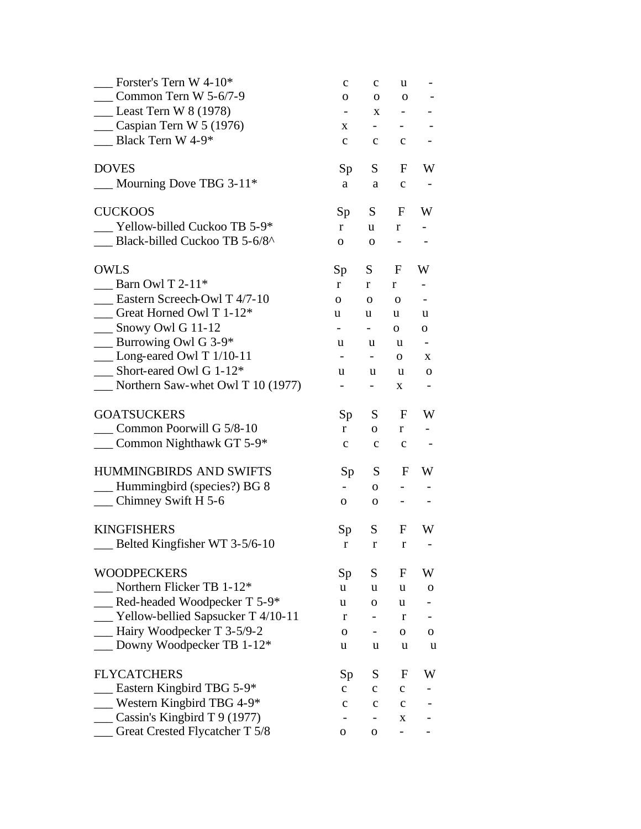| Forster's Tern W 4-10*                          | $\mathbf c$              | $\mathbf{C}$             | u                            |                |
|-------------------------------------------------|--------------------------|--------------------------|------------------------------|----------------|
| Common Tern W $5-6/7-9$                         | 0                        | 0                        | $\mathbf 0$                  |                |
| $\_\_\_\$ Least Tern W 8 (1978)                 |                          | X                        | $\overline{\phantom{a}}$     |                |
| $\equiv$ Caspian Tern W 5 (1976)                | X.                       | $\sim 100$               | $\overline{\phantom{0}}$     |                |
| $\Box$ Black Tern W 4-9*                        | $\mathbf{C}$             | $\mathbf{C}$             | $\mathbf c$                  |                |
| <b>DOVES</b>                                    | Sp                       | S —                      | F                            | W              |
| $\_$ Mourning Dove TBG 3-11*                    | a                        | a                        | $\mathbf{C}$                 |                |
| <b>CUCKOOS</b>                                  | Sp                       | S                        | F                            | W              |
| Yellow-billed Cuckoo TB 5-9*                    | r                        | u.                       | r                            |                |
| Black-billed Cuckoo TB 5-6/8^                   | $\mathbf{O}$             | 0                        | $\qquad \qquad \blacksquare$ |                |
| <b>OWLS</b>                                     | Sp                       | S.                       | $\mathbf F$                  | W              |
| Barn Owl T $2-11*$                              | $r_{\rm}$                | r                        | r                            | $\blacksquare$ |
| Eastern Screech-Owl T 4/7-10                    | $\Omega$                 | $\mathbf{O}$             | $\mathbf 0$                  |                |
| Great Horned Owl T 1-12*                        | u                        | u                        | u                            | u              |
| $\_\_\_\$ Snowy Owl G 11-12                     | $\sim$                   | $ -$                     | 0                            | 0              |
| $\_\_\_\$ Burrowing Owl G 3-9*                  | u                        | u.                       | u                            |                |
| $\_\_$ Long-eared Owl T 1/10-11                 |                          | $\overline{\phantom{a}}$ | $\mathbf{O}$                 | X              |
| $\sum$ Short-eared Owl G 1-12*                  | u                        | u                        | u                            | 0              |
| $\frac{1}{2}$ Northern Saw-whet Owl T 10 (1977) | $\overline{\phantom{0}}$ | ۳.                       | X                            |                |
| <b>GOATSUCKERS</b>                              | Sp                       | S —                      | F                            | W              |
| Common Poorwill G 5/8-10                        | r                        | $\mathbf{O}$             | $r_{\rm}$                    |                |
| $\frac{1}{2}$ Common Nighthawk GT 5-9*          | $\mathbf{C}$             | $\mathbf{C}$             | $\mathbf c$                  |                |
| <b>HUMMINGBIRDS AND SWIFTS</b>                  | Sp                       | S —                      | F                            | W              |
| __ Hummingbird (species?) BG 8                  | $\overline{\phantom{0}}$ | $\overline{O}$           | $\overline{\phantom{0}}$     |                |
| $\_\_$ Chimney Swift H 5-6                      | 0                        | $\mathbf 0$              |                              |                |
| <b>KINGFISHERS</b>                              | Sp                       | S                        | F                            | W              |
| Belted Kingfisher WT 3-5/6-10                   | r                        | $r_{\rm}$                | r                            |                |
| <b>WOODPECKERS</b>                              | Sp                       | S                        | F                            | W              |
| Northern Flicker TB 1-12*                       | u                        | u                        | u                            | 0              |
| Red-headed Woodpecker T 5-9*                    | u                        | 0                        | u                            |                |
| __ Yellow-bellied Sapsucker T 4/10-11           | r                        |                          | r                            |                |
| - Hairy Woodpecker T 3-5/9-2                    | 0                        | $\blacksquare$           | 0                            | 0              |
| Downy Woodpecker TB 1-12*                       | u                        | u                        | u                            | u              |
| <b>FLYCATCHERS</b>                              | Sp                       | S                        | F                            | W              |
| <b>Eastern Kingbird TBG 5-9*</b>                | $\mathbf{C}$             | $\mathbf{C}$             | $\mathbf{C}$                 |                |
| Western Kingbird TBG 4-9 $*$                    | $\mathbf c$              | $\mathbf c$              | $\mathbf c$                  |                |
| $\frac{1}{2}$ Cassin's Kingbird T 9 (1977)      |                          | $\overline{\phantom{0}}$ | X                            |                |
| __ Great Crested Flycatcher T 5/8               | 0                        | 0                        | $\overline{\phantom{0}}$     |                |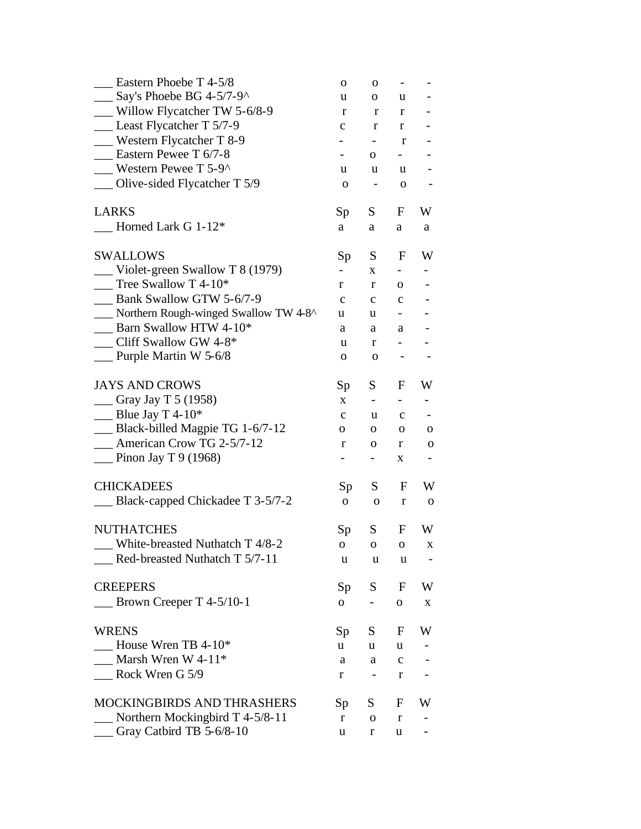| Eastern Phoebe T 4-5/8                            | $\mathbf 0$              | 0                            | $\qquad \qquad \blacksquare$ |                          |
|---------------------------------------------------|--------------------------|------------------------------|------------------------------|--------------------------|
| $\frac{1}{2}$ Say's Phoebe BG 4-5/7-9^            | u                        | 0                            | u                            |                          |
| Willow Flycatcher TW 5-6/8-9                      | r                        | $\mathbf r$                  | r                            |                          |
| $\equiv$ Least Flycatcher T 5/7-9                 | $\mathbf c$              | r                            | r                            |                          |
| Western Flycatcher T 8-9                          | -                        | Ξ.                           | r                            |                          |
| Eastern Pewee T 6/7-8                             | $\overline{\phantom{0}}$ | 0                            | $\blacksquare$               |                          |
| <b>Western Pewee T 5-9<math>\lambda</math></b>    | u                        | u                            | u                            |                          |
| $\Box$ Olive-sided Flycatcher T 5/9               | 0                        | $\qquad \qquad \blacksquare$ | $\mathbf 0$                  |                          |
| <b>LARKS</b>                                      | Sp                       | S                            | F                            | W                        |
| Horned Lark G 1-12*                               | a                        | a                            | a                            | a                        |
| <b>SWALLOWS</b>                                   | Sp                       | S                            | F                            | W                        |
| $\equiv$ Violet-green Swallow T 8 (1979)          |                          | X                            |                              |                          |
| $\overline{\phantom{0}}$ Tree Swallow T 4-10*     | r                        | r                            | 0                            |                          |
| <b>Bank Swallow GTW 5-6/7-9</b>                   | $\mathbf c$              | $\mathbf c$                  | $\mathbf{C}$                 |                          |
| __ Northern Rough-winged Swallow TW 4-8^          | u                        | u                            | Ξ.                           |                          |
| Barn Swallow HTW 4-10*                            | a                        | a                            | a                            |                          |
| __ Cliff Swallow GW 4-8*                          | u                        | r                            | $\overline{\phantom{0}}$     |                          |
| $\mu$ Purple Martin W 5-6/8                       | 0                        | $\mathbf 0$                  |                              |                          |
| <b>JAYS AND CROWS</b>                             | Sp                       | S                            | F                            | W                        |
| $\frac{1}{2}$ Gray Jay T 5 (1958)                 | $\mathbf{X}$             | $\sim$                       | $\blacksquare$               | $\overline{\phantom{0}}$ |
| $\frac{1}{2}$ Blue Jay T 4-10*                    | $\mathbf c$              | u                            | $\mathbf c$                  |                          |
| Black-billed Magpie TG 1-6/7-12                   | 0                        | 0                            | 0                            | 0                        |
| <b>Example 2.5/7-12</b> American Crow TG 2-5/7-12 | r                        | 0                            | r                            | $\mathbf{O}$             |
| $\equiv$ Pinon Jay T 9 (1968)                     | -                        | Ξ.                           | X                            |                          |
| <b>CHICKADEES</b>                                 | Sp                       | S                            | F                            | W                        |
| Black-capped Chickadee T 3-5/7-2                  | $\mathbf{O}$             | $\mathbf 0$                  | $\bf r$                      | 0                        |
| <b>NUTHATCHES</b>                                 | Sp                       | S                            | F                            | W                        |
| White-breasted Nuthatch T 4/8-2                   | $\overline{O}$           | $\overline{O}$               | 0                            | X                        |
| Red-breasted Nuthatch T 5/7-11                    | u                        | u                            | u                            |                          |
| <b>CREEPERS</b>                                   | Sp                       | S                            | F                            | W                        |
| Brown Creeper T $4-5/10-1$                        | 0                        |                              | $\mathbf O$                  | X                        |
| <b>WRENS</b>                                      | Sp                       | S                            | F                            | W                        |
| House Wren TB $4-10*$                             | u                        | u                            | u                            |                          |
| Marsh Wren W 4-11*                                | a                        | a                            | с                            |                          |
| Rock Wren G 5/9                                   | r                        | -                            | r                            |                          |
| MOCKINGBIRDS AND THRASHERS                        | Sp                       | S                            | F                            | W                        |
| Northern Mockingbird T $4-5/8-11$                 | r                        | $\mathbf 0$                  | r                            |                          |
| Cray Catbird TB 5-6/8-10                          | u                        | r                            | u                            |                          |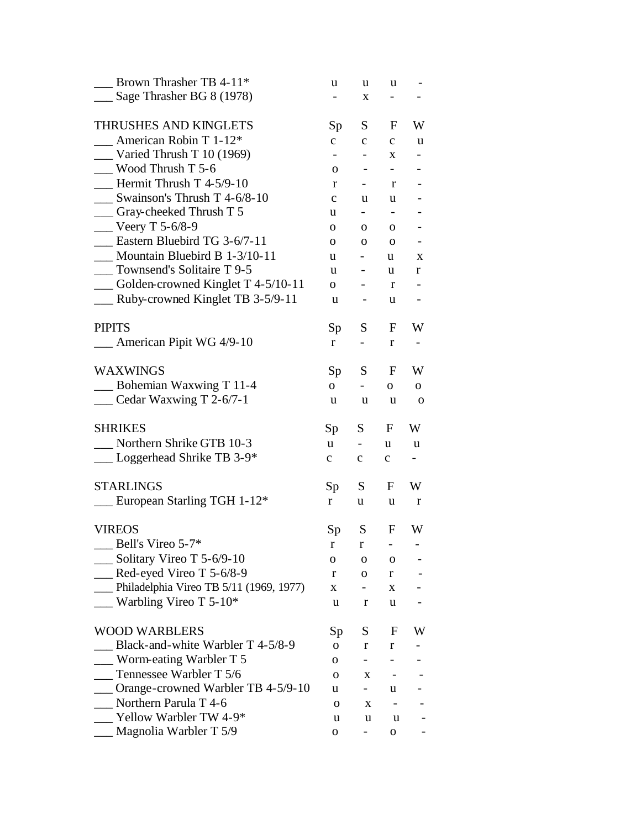| Brown Thrasher TB 4-11*                          | u               | u                        | u                        |              |
|--------------------------------------------------|-----------------|--------------------------|--------------------------|--------------|
| Sage Thrasher BG 8 (1978)                        |                 | X                        | Ξ.                       |              |
| THRUSHES AND KINGLETS                            | Sp              | S.                       | F                        | W            |
| American Robin T 1-12*                           | $\mathbf{C}$    | $\mathbf{C}$             | $\mathbf{C}$             | u            |
| $\frac{1}{2}$ Varied Thrush T 10 (1969)          |                 | -                        | $\mathbf{X}$             |              |
| Wood Thrush T 5-6                                | 0               | $\overline{\phantom{a}}$ | $\overline{\phantom{0}}$ |              |
| Hermit Thrush $T$ 4-5/9-10                       | r               | $\overline{\phantom{0}}$ | r                        |              |
| Swainson's Thrush T 4-6/8-10                     | $\mathbf{C}$    | u                        | u                        |              |
| __ Gray-cheeked Thrush T 5                       | u               | $\overline{\phantom{0}}$ |                          |              |
| <b>Veery T 5-6/8-9</b>                           | 0               | $\mathbf{O}$             | 0                        |              |
| Eastern Bluebird TG 3-6/7-11                     | 0               | 0                        | 0                        |              |
| Mountain Bluebird B 1-3/10-11                    | u               |                          | u                        | X            |
| __ Townsend's Solitaire T 9-5                    | u               | $\overline{\phantom{0}}$ | u                        | r            |
| $\frac{1}{2}$ Golden-crowned Kinglet T 4-5/10-11 | $\overline{O}$  | $\overline{\phantom{0}}$ | r                        |              |
| __ Ruby-crowned Kinglet TB 3-5/9-11              | u               | $\overline{\phantom{a}}$ | u                        |              |
| <b>PIPITS</b>                                    | Sp <sub>1</sub> | S                        | F                        | W            |
| __ American Pipit WG 4/9-10                      | r               | $\overline{\phantom{0}}$ | r                        |              |
| <b>WAXWINGS</b>                                  | Sp              | S                        | F                        | W            |
| Bohemian Waxwing T 11-4                          | $\overline{O}$  | $\overline{\phantom{a}}$ | О.                       | 0            |
| __ Cedar Waxwing T 2-6/7-1                       | u               | u                        | u                        | $\mathbf{o}$ |
| <b>SHRIKES</b>                                   | Sp              | S.                       | F                        | W            |
| Northern Shrike GTB 10-3                         | u.              |                          | u                        | u            |
| __ Loggerhead Shrike TB 3-9*                     | $\mathbf{C}$    | $\mathbf{C}$             | $\mathbf{C}$             |              |
| <b>STARLINGS</b>                                 | Sp              | S                        | F                        | W            |
| European Starling TGH 1-12*                      | r               | u                        | u                        | r            |
| <b>VIREOS</b>                                    | Sp              | S.                       | F                        | W            |
| $\_\_$ Bell's Vireo 5-7*                         | r               | $\mathbf{r}$             |                          |              |
| Solitary Vireo T 5-6/9-10                        | 0               | o                        | 0                        |              |
| $\leq$ Red-eyed Vireo T 5-6/8-9                  | r               | 0                        | r                        |              |
| Philadelphia Vireo TB 5/11 (1969, 1977)          | X               | -                        | X                        |              |
| Warbling Vireo T $5-10^*$                        | u               | r                        | u                        |              |
| <b>WOOD WARBLERS</b>                             | Sp              | S.                       | F                        | W            |
| Black-and-white Warbler T 4-5/8-9                | 0               | r                        | r                        |              |
| Worm-eating Warbler T 5                          | 0               |                          |                          |              |
| Tennessee Warbler T 5/6                          | O               | X                        |                          |              |
| Orange-crowned Warbler TB 4-5/9-10               | u               |                          | u                        |              |
| Northern Parula T 4-6                            | 0               | X                        |                          |              |
| Yellow Warbler TW 4-9*                           | u               | u                        | u                        |              |
| Magnolia Warbler T 5/9                           | о               | Ξ.                       | 0                        |              |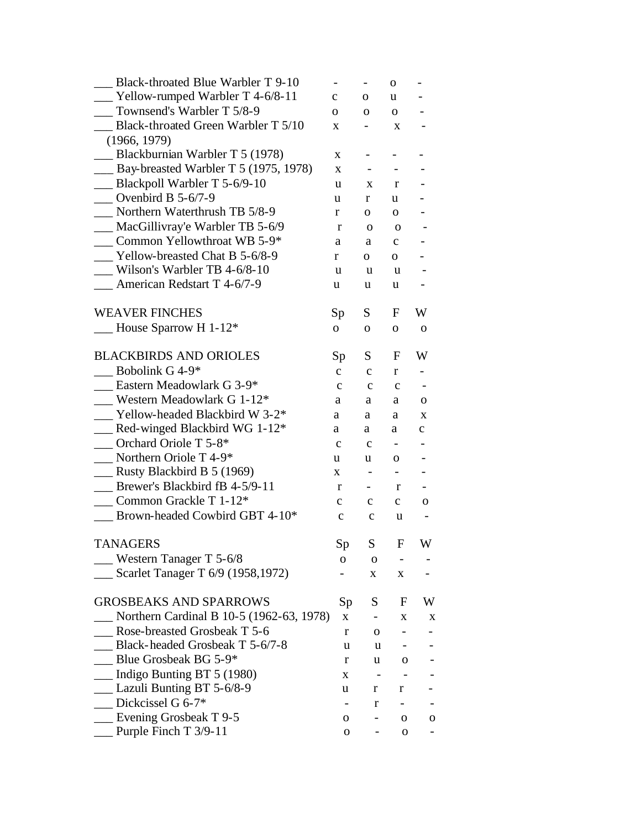| Black-throated Blue Warbler T 9-10              |              | $\overline{\phantom{0}}$ | $\mathbf{O}$   | $\overline{\phantom{0}}$ |
|-------------------------------------------------|--------------|--------------------------|----------------|--------------------------|
| $\blacksquare$ Yellow-rumped Warbler T 4-6/8-11 | $\mathbf{C}$ | 0                        | u              |                          |
| Townsend's Warbler T 5/8-9                      | 0            | $\mathbf{O}$             | $\mathbf{O}$   |                          |
| Black-throated Green Warbler T 5/10             | X            |                          | X              |                          |
| (1966, 1979)                                    |              |                          |                |                          |
| Blackburnian Warbler T 5 (1978)                 | X            |                          |                |                          |
| Bay-breasted Warbler T 5 (1975, 1978)           | X            | $\overline{\phantom{0}}$ |                |                          |
| Blackpoll Warbler T 5-6/9-10                    | u            | X                        | r              |                          |
| Ovenbird B $5-6/7-9$                            | u            | r                        | u              |                          |
| Northern Waterthrush TB 5/8-9                   | r            | 0                        | 0              |                          |
| __ MacGillivray'e Warbler TB 5-6/9              | r            | $\mathbf 0$              | $\mathbf 0$    |                          |
| Common Yellowthroat WB 5-9*                     | a            | a                        | $\mathbf{C}$   |                          |
| Yellow-breasted Chat B 5-6/8-9                  | r            | $\mathbf{O}$             | $\mathbf{O}$   |                          |
| Wilson's Warbler TB 4-6/8-10                    | u            | u                        | u              |                          |
| $\blacksquare$ American Redstart T 4-6/7-9      | u            | u                        | u              |                          |
| <b>WEAVER FINCHES</b>                           | Sp           | S                        | $\mathbf{F}$   | W                        |
| House Sparrow H 1-12*                           | $\mathbf{O}$ | $\mathbf{O}$             | $\mathbf{O}$   | $\mathbf{O}$             |
|                                                 |              |                          |                |                          |
| <b>BLACKBIRDS AND ORIOLES</b>                   | Sp           | S                        | F              | W                        |
| Bobolink G 4-9*                                 | $\mathbf{C}$ | $\mathbf{C}$             | r              |                          |
| Eastern Meadowlark G 3-9*                       | $\mathbf c$  | $\mathbf{C}$             | $\mathbf{C}$   |                          |
| _ Western Meadowlark G 1-12*                    | a            | a                        | a              | 0                        |
| Yellow-headed Blackbird W 3-2 <sup>*</sup>      | a            | a                        | a              | X                        |
| __ Red-winged Blackbird WG 1-12 <sup>*</sup>    | a            | a                        | a              | $\mathbf{C}$             |
| Orchard Oriole T 5-8*                           | $\mathbf c$  | $\mathbf{C}$             |                |                          |
| Northern Oriole T 4-9*                          | u            | u                        | 0              |                          |
| $\equiv$ Rusty Blackbird B 5 (1969)             | X            | $\blacksquare$           | $\blacksquare$ |                          |
| Brewer's Blackbird fB 4-5/9-11                  | r            | $\overline{\phantom{0}}$ | r              |                          |
| Common Grackle T 1-12*                          | $\mathbf{C}$ | $\mathbf{c}$             | $\mathbf{C}$   | 0                        |
| Brown-headed Cowbird GBT 4-10*                  | $\mathbf{C}$ | $\mathbf c$              | u              |                          |
| <b>TANAGERS</b>                                 | Sp           | $S_{\parallel}$          | $\mathbf{F}$   | W                        |
| Western Tanager T 5-6/8                         | 0            | 0                        |                |                          |
| Scarlet Tanager T 6/9 (1958,1972)               |              | X                        | X              |                          |
| <b>GROSBEAKS AND SPARROWS</b>                   | Sp           | S                        | $F_{\perp}$    | W                        |
| Northern Cardinal B 10-5 (1962-63, 1978)        | X            |                          | X              | X                        |
| Rose-breasted Grosbeak T 5-6                    | r            | $\mathbf 0$              |                |                          |
| Black-headed Grosbeak T 5-6/7-8                 | u            | u                        |                |                          |
| Blue Grosbeak BG 5-9*                           | r            | u                        | $\mathbf{O}$   |                          |
| $\equiv$ Indigo Bunting BT 5 (1980)             | X            |                          |                |                          |
| Lazuli Bunting BT 5-6/8-9                       | u            | r                        | r              |                          |
| Dickcissel G 6-7*                               |              | r                        |                |                          |
| $\equiv$ Evening Grosbeak T 9-5                 | 0            |                          | 0              | O                        |
| Purple Finch T 3/9-11                           | 0            |                          | 0              |                          |
|                                                 |              |                          |                |                          |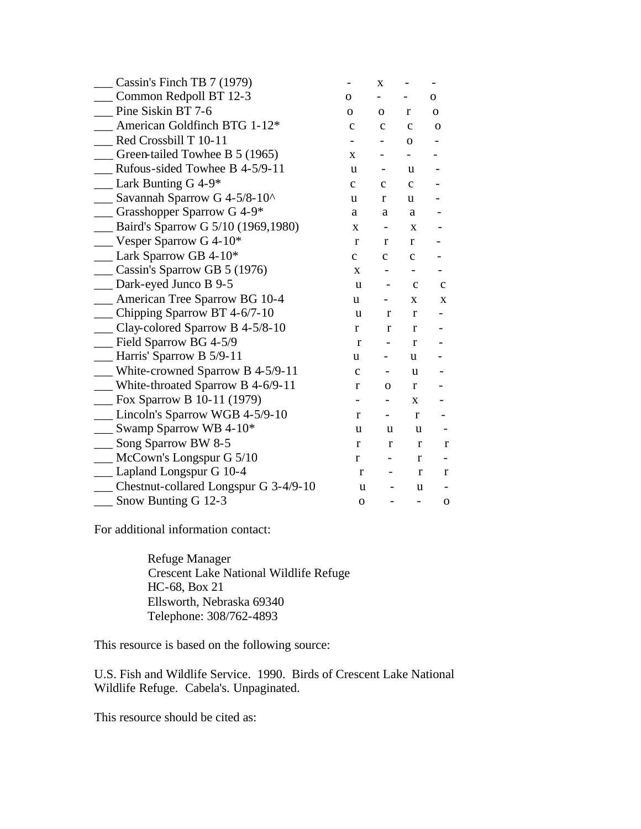| Cassin's Finch TB 7 (1979)                         |              | X            |              |              |
|----------------------------------------------------|--------------|--------------|--------------|--------------|
| Common Redpoll BT 12-3                             | О            |              |              | 0            |
| Pine Siskin BT 7-6                                 | 0            | $\mathbf{O}$ | r            | $\mathbf{O}$ |
| American Goldfinch BTG 1-12*                       | $\mathbf c$  | $\mathbf c$  | $\mathbf c$  | $\mathbf 0$  |
| Red Crossbill T 10-11                              |              |              | $\mathbf{O}$ |              |
| $\equiv$ Green-tailed Towhee B 5 (1965)            | X            |              |              |              |
| Rufous-sided Towhee B 4-5/9-11                     | u            |              | u            |              |
| Lark Bunting $G$ 4-9*                              | $\mathbf{C}$ | $\mathbf C$  | $\mathbf{C}$ |              |
| Savannah Sparrow G 4-5/8-10^                       | u            | r            | u.           |              |
| - Grasshopper Sparrow G 4-9*                       | a            | a            | a            |              |
| _ Baird's Sparrow G 5/10 (1969,1980)               | X            | -            | X            |              |
| $\equiv$ Vesper Sparrow G 4-10*                    | $\mathbf{r}$ | r            | r            |              |
| $\_\_\$ Lark Sparrow GB 4-10*                      | $\mathbf{C}$ | $\mathbf{C}$ | $\mathbf C$  |              |
| _Cassin's Sparrow GB 5 (1976)                      | $\mathbf{X}$ |              |              |              |
| __ Dark-eyed Junco B 9-5                           | u            |              | $\mathbf c$  | $\mathbf c$  |
| _ American Tree Sparrow BG 10-4                    | u            |              | X            | X            |
| __ Chipping Sparrow BT 4-6/7-10                    | u            | $\bf r$      | r            |              |
| __ Clay-colored Sparrow B 4-5/8-10                 | $\mathbf{r}$ | $\bf r$      | $\mathbf{r}$ |              |
| Field Sparrow BG 4-5/9                             | $\mathbf{r}$ |              | $\mathbf{r}$ |              |
| $\equiv$ Harris' Sparrow B 5/9-11                  | u            |              | u            |              |
| <b>EXECUTE:</b> White-crowned Sparrow B $4-5/9-11$ | $\mathbf c$  |              | u            |              |
| White-throated Sparrow B 4-6/9-11                  | $\mathbf{r}$ | 0            | $\mathbf{r}$ |              |
| <b>EX</b> Sparrow B 10-11 (1979)                   |              |              | X            |              |
| Lincoln's Sparrow WGB 4-5/9-10                     | r            |              | $\bf r$      |              |
| $\frac{1}{2}$ Swamp Sparrow WB 4-10*               | u            | u            | u            |              |
| Song Sparrow BW 8-5                                | $\bf r$      | r            | r            | $\mathbf{r}$ |
| McCown's Longspur G 5/10                           | $\mathbf r$  |              | r            |              |
| Lapland Longspur G 10-4                            | r            |              | r            | $\bf r$      |
| __ Chestnut-collared Longspur G 3-4/9-10           | u            |              | u            |              |
| Snow Bunting G 12-3                                | $\mathbf{O}$ |              |              | $\mathbf 0$  |

For additional information contact:

 Refuge Manager Crescent Lake National Wildlife Refuge HC-68, Box 21 Ellsworth, Nebraska 69340 Telephone: 308/762-4893

This resource is based on the following source:

U.S. Fish and Wildlife Service. 1990. Birds of Crescent Lake National Wildlife Refuge. Cabela's. Unpaginated.

This resource should be cited as: